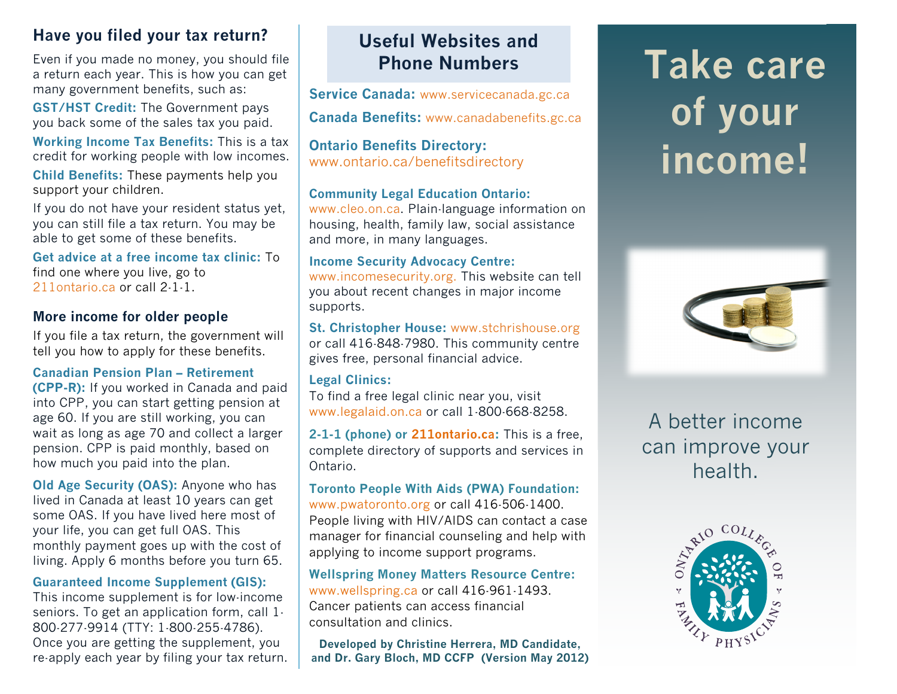# **Have you filed your tax return?**

Even if you made no money, you should file a return each year. This is how you can get many government benefits, such as:

**GST/HST Credit:** The Government pays you back some of the sales tax you paid.

**Working Income Tax Benefits:** This is a tax credit for working people with low incomes.

**Child Benefits:** These payments help you support your children.

If you do not have your resident status yet, you can still file a tax return. You may be able to get some of these benefits.

**Get advice at a free income tax clinic:** To find one where you live, go to 211ontario.ca or call 2-1-1.

# **More income for older people**

If you file a tax return, the government will tell you how to apply for these benefits.

### **Canadian Pension Plan – Retirement**

**(CPP-R):** If you worked in Canada and paid into CPP, you can start getting pension at age 60. If you are still working, you can wait as long as age 70 and collect a larger pension. CPP is paid monthly, based on how much you paid into the plan.

**Old Age Security (OAS):** Anyone who has lived in Canada at least 10 years can get some OAS. If you have lived here most of your life, you can get full OAS. This monthly payment goes up with the cost of living. Apply 6 months before you turn 65.

### **Guaranteed Income Supplement (GIS):**

This income supplement is for low-income seniors. To get an application form, call 1- 800-277-9914 (TTY: 1-800-255-4786). Once you are getting the supplement, you re-apply each year by filing your tax return.

# **Useful Websites and Phone Numbers**

**Service Canada:** www.servicecanada.gc.ca

**Canada Benefits:** www.canadabenefits.gc.ca

**Ontario Benefits Directory:** www.ontario.ca/benefitsdirectory

### **Community Legal Education Ontario:**

www.cleo.on.ca. Plain-language information on housing, health, family law, social assistance and more, in many languages.

### **Income Security Advocacy Centre:**

www.incomesecurity.org. This website can tell you about recent changes in major income supports.

### **St. Christopher House:** www.stchrishouse.org

or call 416-848-7980. This community centre gives free, personal financial advice.

### **Legal Clinics:**

To find a free legal clinic near you, visit www.legalaid.on.ca or call 1-800-668-8258.

**2-1-1 (phone) or 211ontario.ca:** This is a free, complete directory of supports and services in Ontario.

### **Toronto People With Aids (PWA) Foundation:** www.pwatoronto.org or call 416-506-1400. People living with HIV/AIDS can contact a case manager for financial counseling and help with applying to income support programs.

**Wellspring Money Matters Resource Centre:** www.wellspring.ca or call 416-961-1493. Cancer patients can access financial consultation and clinics.

**Developed by Christine Herrera, MD Candidate, and Dr. Gary Bloch, MD CCFP (Version May 2012)**

# **Take care of your income!**



A better income can improve your health.